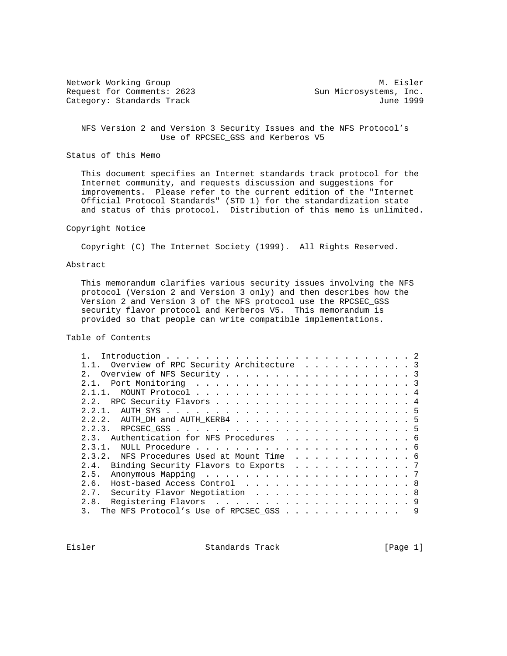Network Working Group Metwork M. Eisler Request for Comments: 2623 Sun Microsystems, Inc. Category: Standards Track June 1999

 NFS Version 2 and Version 3 Security Issues and the NFS Protocol's Use of RPCSEC\_GSS and Kerberos V5

Status of this Memo

 This document specifies an Internet standards track protocol for the Internet community, and requests discussion and suggestions for improvements. Please refer to the current edition of the "Internet Official Protocol Standards" (STD 1) for the standardization state and status of this protocol. Distribution of this memo is unlimited.

## Copyright Notice

Copyright (C) The Internet Society (1999). All Rights Reserved.

### Abstract

 This memorandum clarifies various security issues involving the NFS protocol (Version 2 and Version 3 only) and then describes how the Version 2 and Version 3 of the NFS protocol use the RPCSEC\_GSS security flavor protocol and Kerberos V5. This memorandum is provided so that people can write compatible implementations.

# Table of Contents

| 1.1. Overview of RPC Security Architecture 3 |   |
|----------------------------------------------|---|
| 2. Overview of NFS Security 3                |   |
|                                              |   |
|                                              |   |
|                                              |   |
|                                              |   |
| 2.2.2. AUTH_DH and AUTH_KERB4 5              |   |
|                                              |   |
| 2.3. Authentication for NFS Procedures 6     |   |
|                                              |   |
| 2.3.2. NFS Procedures Used at Mount Time 6   |   |
| 2.4. Binding Security Flavors to Exports 7   |   |
|                                              |   |
| 2.6. Host-based Access Control 8             |   |
| 2.7. Security Flavor Negotiation 8           |   |
|                                              |   |
| The NFS Protocol's Use of RPCSEC_GSS         | 9 |
|                                              |   |

Eisler Standards Track [Page 1]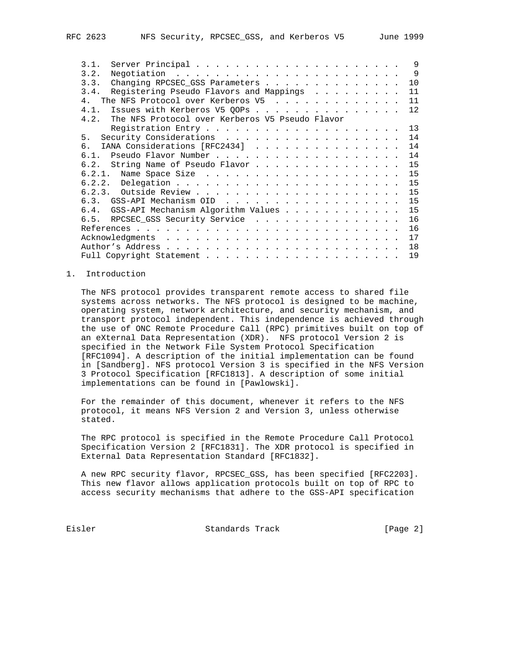| 3.1.                                                 |  |  | $\mathsf{Q}$   |
|------------------------------------------------------|--|--|----------------|
| 3.2.                                                 |  |  | $\overline{9}$ |
| Changing RPCSEC_GSS Parameters<br>3.3.               |  |  | 10             |
| 3.4. Registering Pseudo Flavors and Mappings         |  |  | 11             |
| The NFS Protocol over Kerberos V5<br>4 <sub>1</sub>  |  |  | 11             |
| 4.1.<br>Issues with Kerberos V5 QOPs                 |  |  | 12             |
| 4.2. The NFS Protocol over Kerberos V5 Pseudo Flavor |  |  |                |
|                                                      |  |  | 13             |
| 5.                                                   |  |  | 14             |
| IANA Considerations [RFC2434]<br>რ —                 |  |  | 14             |
|                                                      |  |  | 14             |
| 6.2. String Name of Pseudo Flavor                    |  |  | 15             |
|                                                      |  |  | 15             |
|                                                      |  |  | 15             |
|                                                      |  |  | 15             |
| 6.3. $GSS-API$ Mechanism OID                         |  |  | 15             |
| 6.4. GSS-API Mechanism Algorithm Values              |  |  | 15             |
| RPCSEC_GSS Security Service<br>6.5.                  |  |  | 16             |
|                                                      |  |  | 16             |
|                                                      |  |  | 17             |
|                                                      |  |  | 18             |
|                                                      |  |  | 19             |

### 1. Introduction

 The NFS protocol provides transparent remote access to shared file systems across networks. The NFS protocol is designed to be machine, operating system, network architecture, and security mechanism, and transport protocol independent. This independence is achieved through the use of ONC Remote Procedure Call (RPC) primitives built on top of an eXternal Data Representation (XDR). NFS protocol Version 2 is specified in the Network File System Protocol Specification [RFC1094]. A description of the initial implementation can be found in [Sandberg]. NFS protocol Version 3 is specified in the NFS Version 3 Protocol Specification [RFC1813]. A description of some initial implementations can be found in [Pawlowski].

 For the remainder of this document, whenever it refers to the NFS protocol, it means NFS Version 2 and Version 3, unless otherwise stated.

 The RPC protocol is specified in the Remote Procedure Call Protocol Specification Version 2 [RFC1831]. The XDR protocol is specified in External Data Representation Standard [RFC1832].

 A new RPC security flavor, RPCSEC\_GSS, has been specified [RFC2203]. This new flavor allows application protocols built on top of RPC to access security mechanisms that adhere to the GSS-API specification

Eisler Standards Track [Page 2]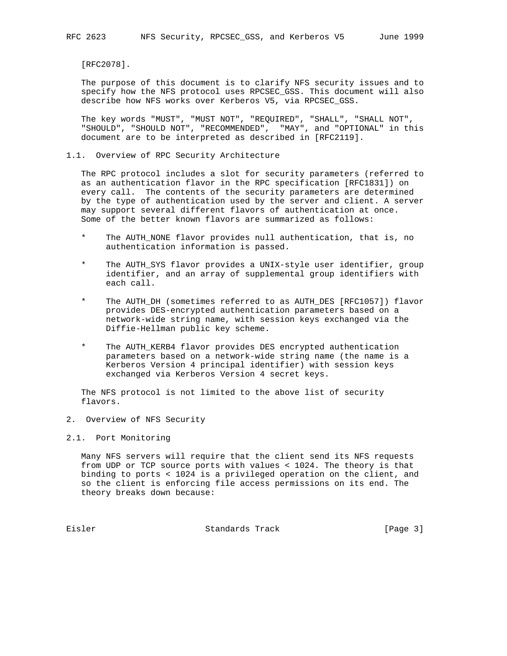[RFC2078].

 The purpose of this document is to clarify NFS security issues and to specify how the NFS protocol uses RPCSEC\_GSS. This document will also describe how NFS works over Kerberos V5, via RPCSEC\_GSS.

 The key words "MUST", "MUST NOT", "REQUIRED", "SHALL", "SHALL NOT", "SHOULD", "SHOULD NOT", "RECOMMENDED", "MAY", and "OPTIONAL" in this document are to be interpreted as described in [RFC2119].

### 1.1. Overview of RPC Security Architecture

 The RPC protocol includes a slot for security parameters (referred to as an authentication flavor in the RPC specification [RFC1831]) on every call. The contents of the security parameters are determined by the type of authentication used by the server and client. A server may support several different flavors of authentication at once. Some of the better known flavors are summarized as follows:

- \* The AUTH\_NONE flavor provides null authentication, that is, no authentication information is passed.
- \* The AUTH\_SYS flavor provides a UNIX-style user identifier, group identifier, and an array of supplemental group identifiers with each call.
- \* The AUTH\_DH (sometimes referred to as AUTH\_DES [RFC1057]) flavor provides DES-encrypted authentication parameters based on a network-wide string name, with session keys exchanged via the Diffie-Hellman public key scheme.
- \* The AUTH\_KERB4 flavor provides DES encrypted authentication parameters based on a network-wide string name (the name is a Kerberos Version 4 principal identifier) with session keys exchanged via Kerberos Version 4 secret keys.

 The NFS protocol is not limited to the above list of security flavors.

- 2. Overview of NFS Security
- 2.1. Port Monitoring

 Many NFS servers will require that the client send its NFS requests from UDP or TCP source ports with values < 1024. The theory is that binding to ports < 1024 is a privileged operation on the client, and so the client is enforcing file access permissions on its end. The theory breaks down because:

Eisler Standards Track [Page 3]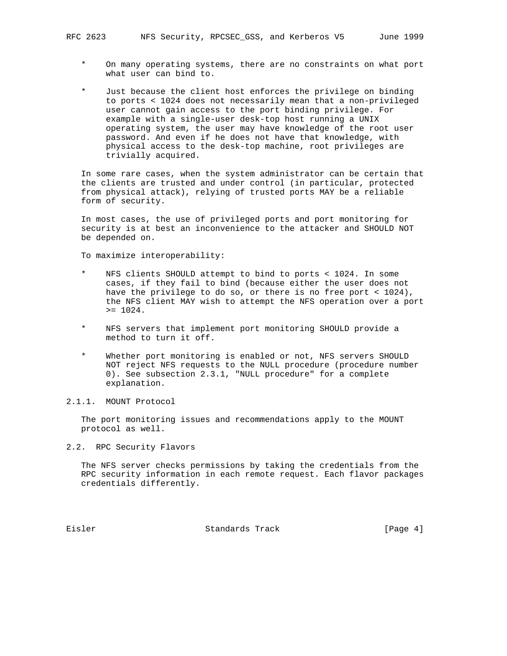- On many operating systems, there are no constraints on what port what user can bind to.
- \* Just because the client host enforces the privilege on binding to ports < 1024 does not necessarily mean that a non-privileged user cannot gain access to the port binding privilege. For example with a single-user desk-top host running a UNIX operating system, the user may have knowledge of the root user password. And even if he does not have that knowledge, with physical access to the desk-top machine, root privileges are trivially acquired.

 In some rare cases, when the system administrator can be certain that the clients are trusted and under control (in particular, protected from physical attack), relying of trusted ports MAY be a reliable form of security.

 In most cases, the use of privileged ports and port monitoring for security is at best an inconvenience to the attacker and SHOULD NOT be depended on.

To maximize interoperability:

- NFS clients SHOULD attempt to bind to ports < 1024. In some cases, if they fail to bind (because either the user does not have the privilege to do so, or there is no free port < 1024), the NFS client MAY wish to attempt the NFS operation over a port  $>= 1024.$
- NFS servers that implement port monitoring SHOULD provide a method to turn it off.
- \* Whether port monitoring is enabled or not, NFS servers SHOULD NOT reject NFS requests to the NULL procedure (procedure number 0). See subsection 2.3.1, "NULL procedure" for a complete explanation.

# 2.1.1. MOUNT Protocol

 The port monitoring issues and recommendations apply to the MOUNT protocol as well.

2.2. RPC Security Flavors

 The NFS server checks permissions by taking the credentials from the RPC security information in each remote request. Each flavor packages credentials differently.

Eisler Standards Track [Page 4]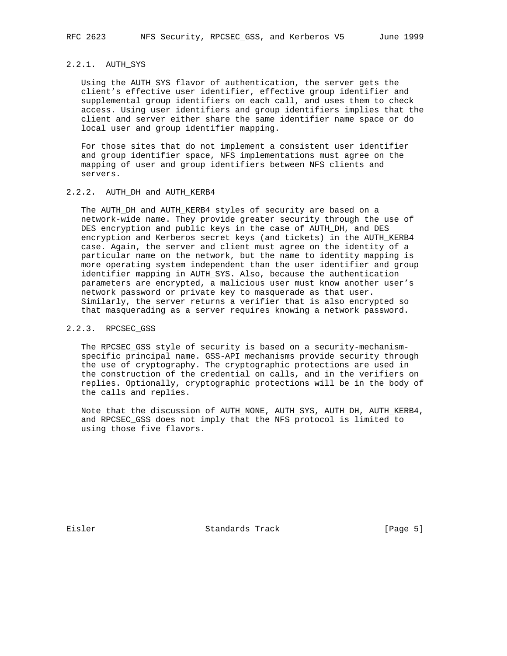## 2.2.1. AUTH\_SYS

 Using the AUTH\_SYS flavor of authentication, the server gets the client's effective user identifier, effective group identifier and supplemental group identifiers on each call, and uses them to check access. Using user identifiers and group identifiers implies that the client and server either share the same identifier name space or do local user and group identifier mapping.

 For those sites that do not implement a consistent user identifier and group identifier space, NFS implementations must agree on the mapping of user and group identifiers between NFS clients and servers.

# 2.2.2. AUTH\_DH and AUTH\_KERB4

 The AUTH\_DH and AUTH\_KERB4 styles of security are based on a network-wide name. They provide greater security through the use of DES encryption and public keys in the case of AUTH\_DH, and DES encryption and Kerberos secret keys (and tickets) in the AUTH\_KERB4 case. Again, the server and client must agree on the identity of a particular name on the network, but the name to identity mapping is more operating system independent than the user identifier and group identifier mapping in AUTH\_SYS. Also, because the authentication parameters are encrypted, a malicious user must know another user's network password or private key to masquerade as that user. Similarly, the server returns a verifier that is also encrypted so that masquerading as a server requires knowing a network password.

#### 2.2.3. RPCSEC\_GSS

 The RPCSEC\_GSS style of security is based on a security-mechanism specific principal name. GSS-API mechanisms provide security through the use of cryptography. The cryptographic protections are used in the construction of the credential on calls, and in the verifiers on replies. Optionally, cryptographic protections will be in the body of the calls and replies.

 Note that the discussion of AUTH\_NONE, AUTH\_SYS, AUTH\_DH, AUTH\_KERB4, and RPCSEC\_GSS does not imply that the NFS protocol is limited to using those five flavors.

Eisler Standards Track [Page 5]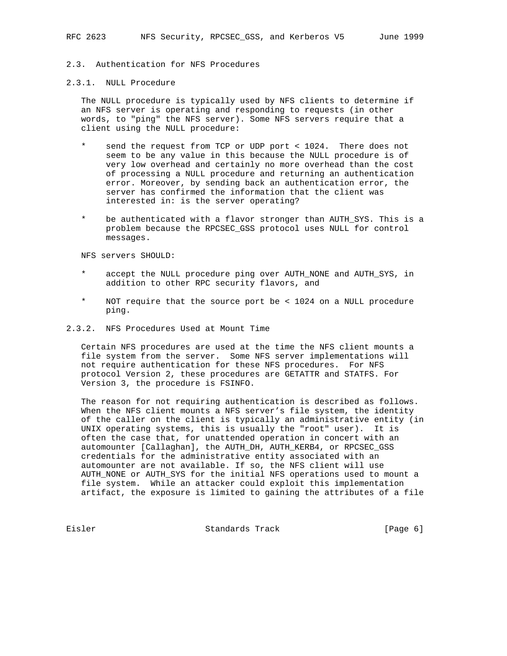## 2.3. Authentication for NFS Procedures

#### 2.3.1. NULL Procedure

 The NULL procedure is typically used by NFS clients to determine if an NFS server is operating and responding to requests (in other words, to "ping" the NFS server). Some NFS servers require that a client using the NULL procedure:

- \* send the request from TCP or UDP port < 1024. There does not seem to be any value in this because the NULL procedure is of very low overhead and certainly no more overhead than the cost of processing a NULL procedure and returning an authentication error. Moreover, by sending back an authentication error, the server has confirmed the information that the client was interested in: is the server operating?
- be authenticated with a flavor stronger than AUTH\_SYS. This is a problem because the RPCSEC\_GSS protocol uses NULL for control messages.

NFS servers SHOULD:

- accept the NULL procedure ping over AUTH\_NONE and AUTH\_SYS, in addition to other RPC security flavors, and
- NOT require that the source port be < 1024 on a NULL procedure ping.
- 2.3.2. NFS Procedures Used at Mount Time

 Certain NFS procedures are used at the time the NFS client mounts a file system from the server. Some NFS server implementations will not require authentication for these NFS procedures. For NFS protocol Version 2, these procedures are GETATTR and STATFS. For Version 3, the procedure is FSINFO.

 The reason for not requiring authentication is described as follows. When the NFS client mounts a NFS server's file system, the identity of the caller on the client is typically an administrative entity (in UNIX operating systems, this is usually the "root" user). It is often the case that, for unattended operation in concert with an automounter [Callaghan], the AUTH\_DH, AUTH\_KERB4, or RPCSEC\_GSS credentials for the administrative entity associated with an automounter are not available. If so, the NFS client will use AUTH\_NONE or AUTH\_SYS for the initial NFS operations used to mount a file system. While an attacker could exploit this implementation artifact, the exposure is limited to gaining the attributes of a file

Eisler Standards Track [Page 6]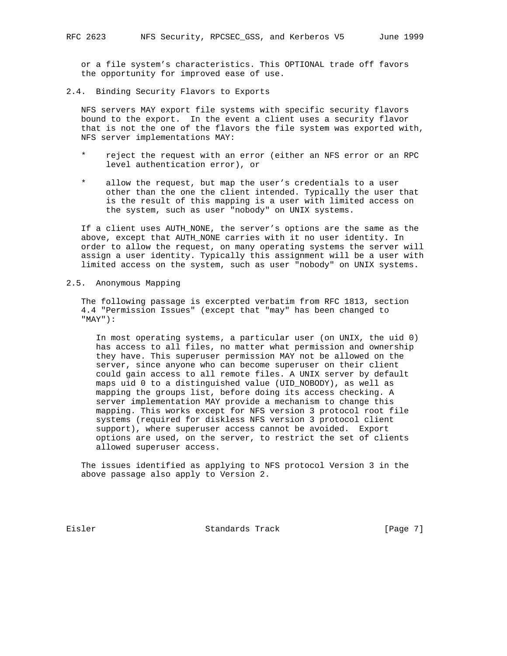or a file system's characteristics. This OPTIONAL trade off favors the opportunity for improved ease of use.

2.4. Binding Security Flavors to Exports

 NFS servers MAY export file systems with specific security flavors bound to the export. In the event a client uses a security flavor that is not the one of the flavors the file system was exported with, NFS server implementations MAY:

- reject the request with an error (either an NFS error or an RPC level authentication error), or
- allow the request, but map the user's credentials to a user other than the one the client intended. Typically the user that is the result of this mapping is a user with limited access on the system, such as user "nobody" on UNIX systems.

 If a client uses AUTH\_NONE, the server's options are the same as the above, except that AUTH\_NONE carries with it no user identity. In order to allow the request, on many operating systems the server will assign a user identity. Typically this assignment will be a user with limited access on the system, such as user "nobody" on UNIX systems.

2.5. Anonymous Mapping

 The following passage is excerpted verbatim from RFC 1813, section 4.4 "Permission Issues" (except that "may" has been changed to "MAY"):

 In most operating systems, a particular user (on UNIX, the uid 0) has access to all files, no matter what permission and ownership they have. This superuser permission MAY not be allowed on the server, since anyone who can become superuser on their client could gain access to all remote files. A UNIX server by default maps uid 0 to a distinguished value (UID\_NOBODY), as well as mapping the groups list, before doing its access checking. A server implementation MAY provide a mechanism to change this mapping. This works except for NFS version 3 protocol root file systems (required for diskless NFS version 3 protocol client support), where superuser access cannot be avoided. Export options are used, on the server, to restrict the set of clients allowed superuser access.

 The issues identified as applying to NFS protocol Version 3 in the above passage also apply to Version 2.

Eisler Standards Track [Page 7]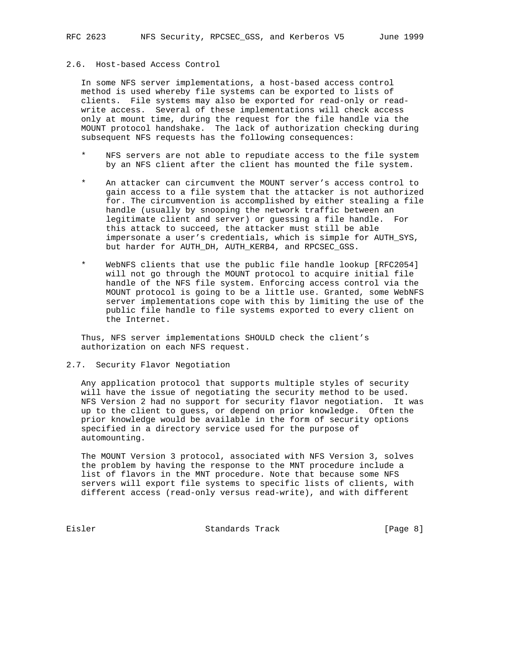# 2.6. Host-based Access Control

 In some NFS server implementations, a host-based access control method is used whereby file systems can be exported to lists of clients. File systems may also be exported for read-only or read write access. Several of these implementations will check access only at mount time, during the request for the file handle via the MOUNT protocol handshake. The lack of authorization checking during subsequent NFS requests has the following consequences:

- NFS servers are not able to repudiate access to the file system by an NFS client after the client has mounted the file system.
- An attacker can circumvent the MOUNT server's access control to gain access to a file system that the attacker is not authorized for. The circumvention is accomplished by either stealing a file handle (usually by snooping the network traffic between an legitimate client and server) or guessing a file handle. For this attack to succeed, the attacker must still be able impersonate a user's credentials, which is simple for AUTH\_SYS, but harder for AUTH\_DH, AUTH\_KERB4, and RPCSEC\_GSS.
- WebNFS clients that use the public file handle lookup [RFC2054] will not go through the MOUNT protocol to acquire initial file handle of the NFS file system. Enforcing access control via the MOUNT protocol is going to be a little use. Granted, some WebNFS server implementations cope with this by limiting the use of the public file handle to file systems exported to every client on the Internet.

 Thus, NFS server implementations SHOULD check the client's authorization on each NFS request.

## 2.7. Security Flavor Negotiation

 Any application protocol that supports multiple styles of security will have the issue of negotiating the security method to be used. NFS Version 2 had no support for security flavor negotiation. It was up to the client to guess, or depend on prior knowledge. Often the prior knowledge would be available in the form of security options specified in a directory service used for the purpose of automounting.

 The MOUNT Version 3 protocol, associated with NFS Version 3, solves the problem by having the response to the MNT procedure include a list of flavors in the MNT procedure. Note that because some NFS servers will export file systems to specific lists of clients, with different access (read-only versus read-write), and with different

Eisler Standards Track [Page 8]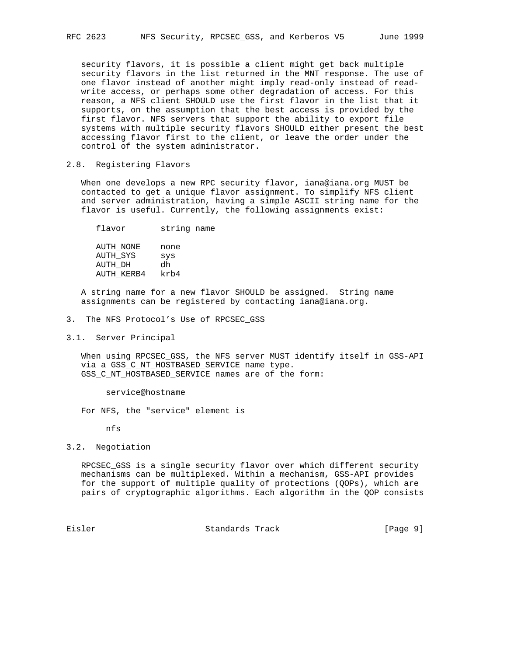security flavors, it is possible a client might get back multiple security flavors in the list returned in the MNT response. The use of one flavor instead of another might imply read-only instead of read write access, or perhaps some other degradation of access. For this reason, a NFS client SHOULD use the first flavor in the list that it supports, on the assumption that the best access is provided by the first flavor. NFS servers that support the ability to export file systems with multiple security flavors SHOULD either present the best accessing flavor first to the client, or leave the order under the control of the system administrator.

## 2.8. Registering Flavors

 When one develops a new RPC security flavor, iana@iana.org MUST be contacted to get a unique flavor assignment. To simplify NFS client and server administration, having a simple ASCII string name for the flavor is useful. Currently, the following assignments exist:

 flavor string name AUTH\_NONE none AUTH\_SYS sys AUTH\_DH dh AUTH\_KERB4 krb4

 A string name for a new flavor SHOULD be assigned. String name assignments can be registered by contacting iana@iana.org.

3. The NFS Protocol's Use of RPCSEC\_GSS

#### 3.1. Server Principal

 When using RPCSEC\_GSS, the NFS server MUST identify itself in GSS-API via a GSS C NT HOSTBASED SERVICE name type. GSS\_C\_NT\_HOSTBASED\_SERVICE names are of the form:

service@hostname

For NFS, the "service" element is

nfs

## 3.2. Negotiation

 RPCSEC\_GSS is a single security flavor over which different security mechanisms can be multiplexed. Within a mechanism, GSS-API provides for the support of multiple quality of protections (QOPs), which are pairs of cryptographic algorithms. Each algorithm in the QOP consists

Eisler Standards Track [Page 9]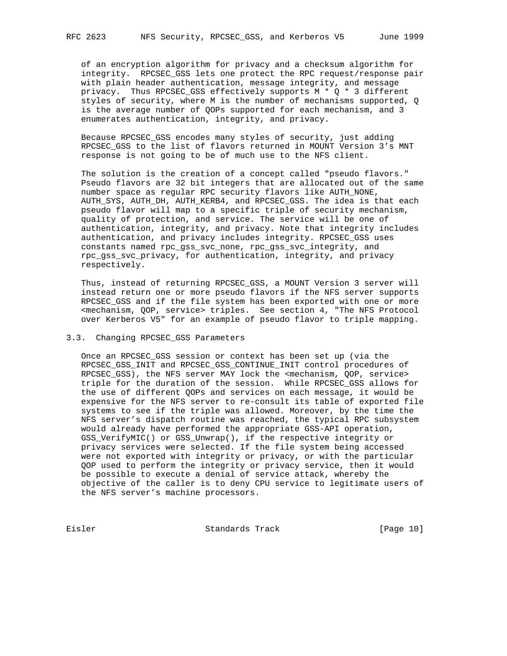of an encryption algorithm for privacy and a checksum algorithm for integrity. RPCSEC\_GSS lets one protect the RPC request/response pair with plain header authentication, message integrity, and message privacy. Thus RPCSEC\_GSS effectively supports M \* Q \* 3 different styles of security, where M is the number of mechanisms supported, Q is the average number of QOPs supported for each mechanism, and 3 enumerates authentication, integrity, and privacy.

 Because RPCSEC\_GSS encodes many styles of security, just adding RPCSEC GSS to the list of flavors returned in MOUNT Version 3's MNT response is not going to be of much use to the NFS client.

 The solution is the creation of a concept called "pseudo flavors." Pseudo flavors are 32 bit integers that are allocated out of the same number space as regular RPC security flavors like AUTH\_NONE, AUTH\_SYS, AUTH\_DH, AUTH\_KERB4, and RPCSEC\_GSS. The idea is that each pseudo flavor will map to a specific triple of security mechanism, quality of protection, and service. The service will be one of authentication, integrity, and privacy. Note that integrity includes authentication, and privacy includes integrity. RPCSEC\_GSS uses constants named rpc\_gss\_svc\_none, rpc\_gss\_svc\_integrity, and rpc\_gss\_svc\_privacy, for authentication, integrity, and privacy respectively.

 Thus, instead of returning RPCSEC\_GSS, a MOUNT Version 3 server will instead return one or more pseudo flavors if the NFS server supports RPCSEC\_GSS and if the file system has been exported with one or more <mechanism, QOP, service> triples. See section 4, "The NFS Protocol over Kerberos V5" for an example of pseudo flavor to triple mapping.

## 3.3. Changing RPCSEC\_GSS Parameters

 Once an RPCSEC\_GSS session or context has been set up (via the RPCSEC\_GSS\_INIT and RPCSEC\_GSS\_CONTINUE\_INIT control procedures of RPCSEC\_GSS), the NFS server MAY lock the <mechanism, QOP, service> triple for the duration of the session. While RPCSEC\_GSS allows for the use of different QOPs and services on each message, it would be expensive for the NFS server to re-consult its table of exported file systems to see if the triple was allowed. Moreover, by the time the NFS server's dispatch routine was reached, the typical RPC subsystem would already have performed the appropriate GSS-API operation, GSS\_VerifyMIC() or GSS\_Unwrap(), if the respective integrity or privacy services were selected. If the file system being accessed were not exported with integrity or privacy, or with the particular QOP used to perform the integrity or privacy service, then it would be possible to execute a denial of service attack, whereby the objective of the caller is to deny CPU service to legitimate users of the NFS server's machine processors.

Eisler Standards Track [Page 10]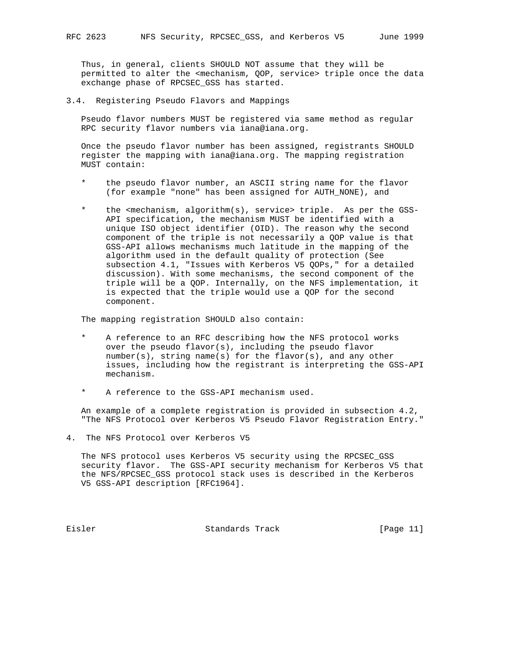Thus, in general, clients SHOULD NOT assume that they will be permitted to alter the <mechanism, QOP, service> triple once the data exchange phase of RPCSEC\_GSS has started.

3.4. Registering Pseudo Flavors and Mappings

 Pseudo flavor numbers MUST be registered via same method as regular RPC security flavor numbers via iana@iana.org.

 Once the pseudo flavor number has been assigned, registrants SHOULD register the mapping with iana@iana.org. The mapping registration MUST contain:

- the pseudo flavor number, an ASCII string name for the flavor (for example "none" has been assigned for AUTH\_NONE), and
- the <mechanism, algorithm(s), service> triple. As per the GSS- API specification, the mechanism MUST be identified with a unique ISO object identifier (OID). The reason why the second component of the triple is not necessarily a QOP value is that GSS-API allows mechanisms much latitude in the mapping of the algorithm used in the default quality of protection (See subsection 4.1, "Issues with Kerberos V5 QOPs," for a detailed discussion). With some mechanisms, the second component of the triple will be a QOP. Internally, on the NFS implementation, it is expected that the triple would use a QOP for the second component.

The mapping registration SHOULD also contain:

- A reference to an RFC describing how the NFS protocol works over the pseudo flavor(s), including the pseudo flavor number(s), string name(s) for the flavor(s), and any other issues, including how the registrant is interpreting the GSS-API mechanism.
- A reference to the GSS-API mechanism used.

 An example of a complete registration is provided in subsection 4.2, "The NFS Protocol over Kerberos V5 Pseudo Flavor Registration Entry."

4. The NFS Protocol over Kerberos V5

 The NFS protocol uses Kerberos V5 security using the RPCSEC\_GSS security flavor. The GSS-API security mechanism for Kerberos V5 that the NFS/RPCSEC\_GSS protocol stack uses is described in the Kerberos V5 GSS-API description [RFC1964].

Eisler Standards Track [Page 11]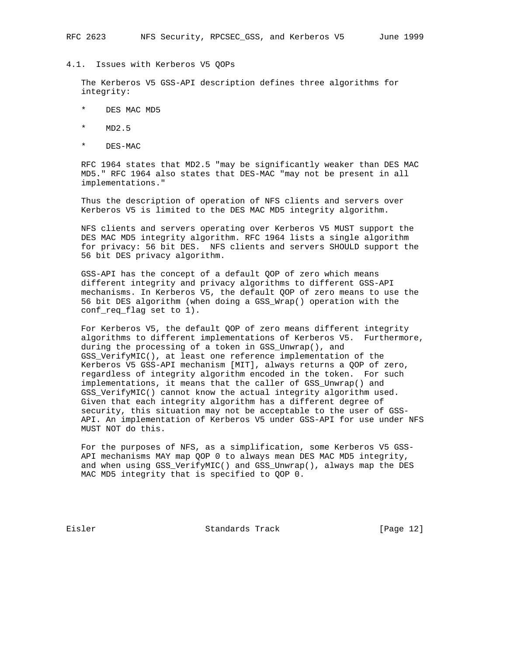#### 4.1. Issues with Kerberos V5 QOPs

 The Kerberos V5 GSS-API description defines three algorithms for integrity:

- \* DES MAC MD5
- \* MD2.5
- \* DES-MAC

 RFC 1964 states that MD2.5 "may be significantly weaker than DES MAC MD5." RFC 1964 also states that DES-MAC "may not be present in all implementations."

 Thus the description of operation of NFS clients and servers over Kerberos V5 is limited to the DES MAC MD5 integrity algorithm.

 NFS clients and servers operating over Kerberos V5 MUST support the DES MAC MD5 integrity algorithm. RFC 1964 lists a single algorithm for privacy: 56 bit DES. NFS clients and servers SHOULD support the 56 bit DES privacy algorithm.

 GSS-API has the concept of a default QOP of zero which means different integrity and privacy algorithms to different GSS-API mechanisms. In Kerberos V5, the default QOP of zero means to use the 56 bit DES algorithm (when doing a GSS\_Wrap() operation with the conf\_req\_flag set to 1).

 For Kerberos V5, the default QOP of zero means different integrity algorithms to different implementations of Kerberos V5. Furthermore, during the processing of a token in GSS\_Unwrap(), and GSS\_VerifyMIC(), at least one reference implementation of the Kerberos V5 GSS-API mechanism [MIT], always returns a QOP of zero, regardless of integrity algorithm encoded in the token. For such implementations, it means that the caller of GSS\_Unwrap() and GSS\_VerifyMIC() cannot know the actual integrity algorithm used. Given that each integrity algorithm has a different degree of security, this situation may not be acceptable to the user of GSS- API. An implementation of Kerberos V5 under GSS-API for use under NFS MUST NOT do this.

 For the purposes of NFS, as a simplification, some Kerberos V5 GSS- API mechanisms MAY map QOP 0 to always mean DES MAC MD5 integrity, and when using GSS\_VerifyMIC() and GSS\_Unwrap(), always map the DES MAC MD5 integrity that is specified to QOP 0.

Eisler Standards Track [Page 12]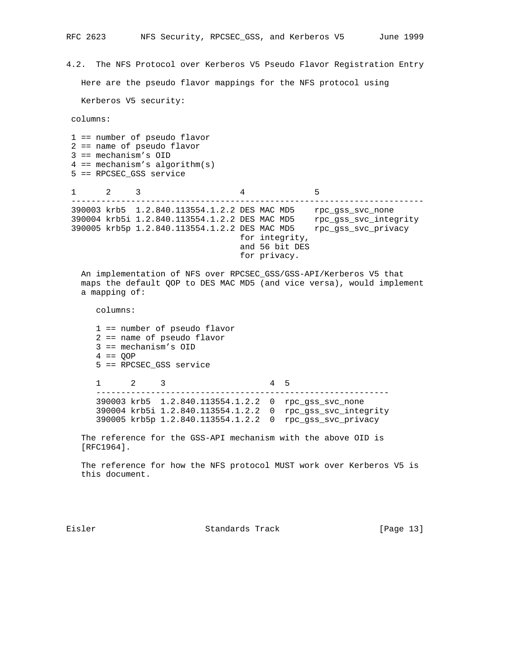4.2. The NFS Protocol over Kerberos V5 Pseudo Flavor Registration Entry Here are the pseudo flavor mappings for the NFS protocol using Kerberos V5 security: columns: 1 == number of pseudo flavor 2 == name of pseudo flavor 3 == mechanism's OID  $4 == mechanism's algorithm(s)$  5 == RPCSEC\_GSS service  $1$  2 3 4 5 ----------------------------------------------------------------------- 390003 krb5 1.2.840.113554.1.2.2 DES MAC MD5 rpc\_gss\_svc\_none 390004 krb5i 1.2.840.113554.1.2.2 DES MAC MD5 rpc\_gss\_svc\_integrity 390005 krb5p 1.2.840.113554.1.2.2 DES MAC MD5 rpc\_gss\_svc\_privacy for integrity, and 56 bit DES for privacy. An implementation of NFS over RPCSEC\_GSS/GSS-API/Kerberos V5 that maps the default QOP to DES MAC MD5 (and vice versa), would implement a mapping of: columns: 1 == number of pseudo flavor 2 == name of pseudo flavor 3 == mechanism's OID  $4 == QOP$  5 == RPCSEC\_GSS service 1 2 3 4 5 ----------------------------------------------------------- 390003 krb5 1.2.840.113554.1.2.2 0 rpc\_gss\_svc\_none 390004 krb5i 1.2.840.113554.1.2.2 0 rpc\_gss\_svc\_integrity 390005 krb5p 1.2.840.113554.1.2.2 0 rpc\_gss\_svc\_privacy The reference for the GSS-API mechanism with the above OID is [RFC1964].

 The reference for how the NFS protocol MUST work over Kerberos V5 is this document.

Eisler Standards Track [Page 13]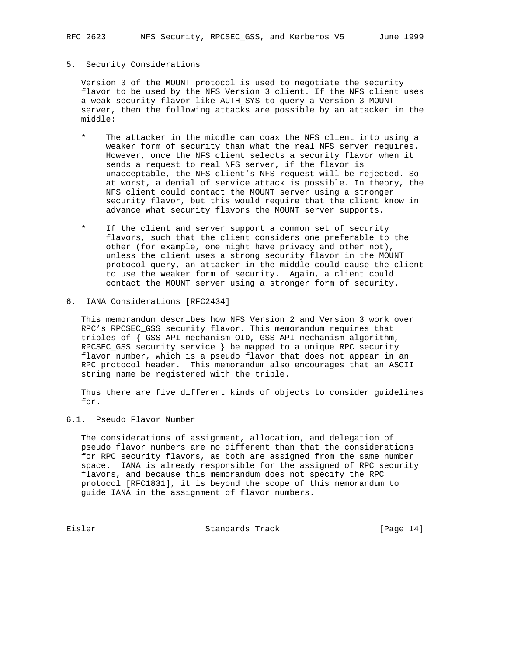### 5. Security Considerations

 Version 3 of the MOUNT protocol is used to negotiate the security flavor to be used by the NFS Version 3 client. If the NFS client uses a weak security flavor like AUTH\_SYS to query a Version 3 MOUNT server, then the following attacks are possible by an attacker in the middle:

- \* The attacker in the middle can coax the NFS client into using a weaker form of security than what the real NFS server requires. However, once the NFS client selects a security flavor when it sends a request to real NFS server, if the flavor is unacceptable, the NFS client's NFS request will be rejected. So at worst, a denial of service attack is possible. In theory, the NFS client could contact the MOUNT server using a stronger security flavor, but this would require that the client know in advance what security flavors the MOUNT server supports.
- If the client and server support a common set of security flavors, such that the client considers one preferable to the other (for example, one might have privacy and other not), unless the client uses a strong security flavor in the MOUNT protocol query, an attacker in the middle could cause the client to use the weaker form of security. Again, a client could contact the MOUNT server using a stronger form of security.
- 6. IANA Considerations [RFC2434]

 This memorandum describes how NFS Version 2 and Version 3 work over RPC's RPCSEC\_GSS security flavor. This memorandum requires that triples of { GSS-API mechanism OID, GSS-API mechanism algorithm, RPCSEC\_GSS security service } be mapped to a unique RPC security flavor number, which is a pseudo flavor that does not appear in an RPC protocol header. This memorandum also encourages that an ASCII string name be registered with the triple.

 Thus there are five different kinds of objects to consider guidelines for.

#### 6.1. Pseudo Flavor Number

 The considerations of assignment, allocation, and delegation of pseudo flavor numbers are no different than that the considerations for RPC security flavors, as both are assigned from the same number space. IANA is already responsible for the assigned of RPC security flavors, and because this memorandum does not specify the RPC protocol [RFC1831], it is beyond the scope of this memorandum to guide IANA in the assignment of flavor numbers.

Eisler Standards Track [Page 14]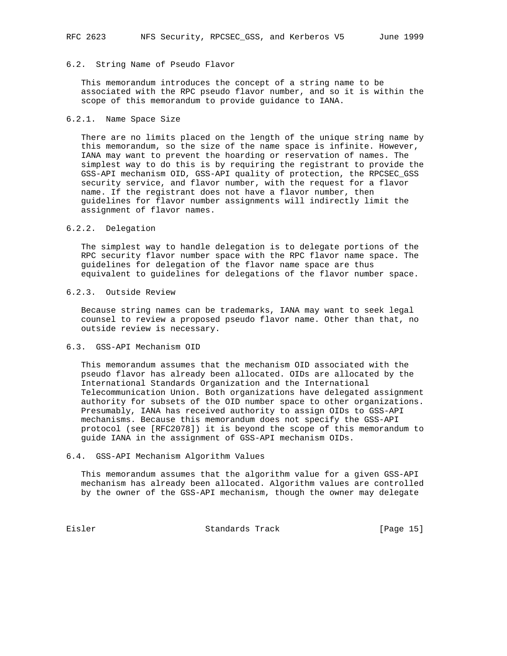## 6.2. String Name of Pseudo Flavor

 This memorandum introduces the concept of a string name to be associated with the RPC pseudo flavor number, and so it is within the scope of this memorandum to provide guidance to IANA.

## 6.2.1. Name Space Size

 There are no limits placed on the length of the unique string name by this memorandum, so the size of the name space is infinite. However, IANA may want to prevent the hoarding or reservation of names. The simplest way to do this is by requiring the registrant to provide the GSS-API mechanism OID, GSS-API quality of protection, the RPCSEC\_GSS security service, and flavor number, with the request for a flavor name. If the registrant does not have a flavor number, then guidelines for flavor number assignments will indirectly limit the assignment of flavor names.

## 6.2.2. Delegation

 The simplest way to handle delegation is to delegate portions of the RPC security flavor number space with the RPC flavor name space. The guidelines for delegation of the flavor name space are thus equivalent to guidelines for delegations of the flavor number space.

## 6.2.3. Outside Review

 Because string names can be trademarks, IANA may want to seek legal counsel to review a proposed pseudo flavor name. Other than that, no outside review is necessary.

## 6.3. GSS-API Mechanism OID

 This memorandum assumes that the mechanism OID associated with the pseudo flavor has already been allocated. OIDs are allocated by the International Standards Organization and the International Telecommunication Union. Both organizations have delegated assignment authority for subsets of the OID number space to other organizations. Presumably, IANA has received authority to assign OIDs to GSS-API mechanisms. Because this memorandum does not specify the GSS-API protocol (see [RFC2078]) it is beyond the scope of this memorandum to guide IANA in the assignment of GSS-API mechanism OIDs.

#### 6.4. GSS-API Mechanism Algorithm Values

 This memorandum assumes that the algorithm value for a given GSS-API mechanism has already been allocated. Algorithm values are controlled by the owner of the GSS-API mechanism, though the owner may delegate

Eisler Chamards Track [Page 15]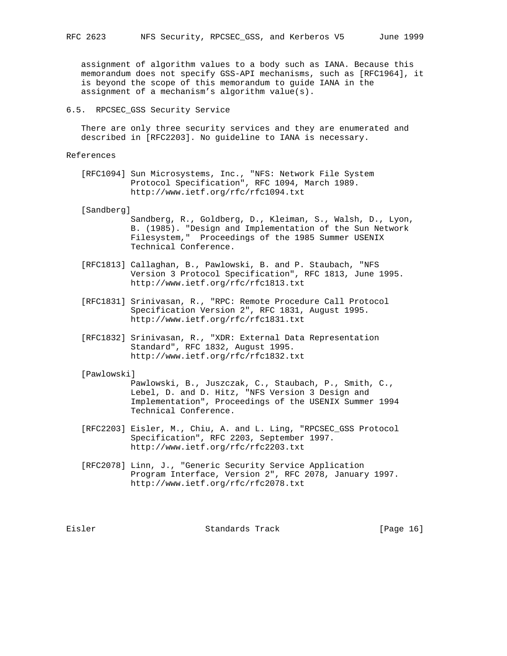assignment of algorithm values to a body such as IANA. Because this memorandum does not specify GSS-API mechanisms, such as [RFC1964], it is beyond the scope of this memorandum to guide IANA in the assignment of a mechanism's algorithm value(s).

### 6.5. RPCSEC\_GSS Security Service

 There are only three security services and they are enumerated and described in [RFC2203]. No guideline to IANA is necessary.

### References

 [RFC1094] Sun Microsystems, Inc., "NFS: Network File System Protocol Specification", RFC 1094, March 1989. http://www.ietf.org/rfc/rfc1094.txt

#### [Sandberg]

- Sandberg, R., Goldberg, D., Kleiman, S., Walsh, D., Lyon, B. (1985). "Design and Implementation of the Sun Network Filesystem," Proceedings of the 1985 Summer USENIX Technical Conference.
- [RFC1813] Callaghan, B., Pawlowski, B. and P. Staubach, "NFS Version 3 Protocol Specification", RFC 1813, June 1995. http://www.ietf.org/rfc/rfc1813.txt
- [RFC1831] Srinivasan, R., "RPC: Remote Procedure Call Protocol Specification Version 2", RFC 1831, August 1995. http://www.ietf.org/rfc/rfc1831.txt
- [RFC1832] Srinivasan, R., "XDR: External Data Representation Standard", RFC 1832, August 1995. http://www.ietf.org/rfc/rfc1832.txt

#### [Pawlowski]

 Pawlowski, B., Juszczak, C., Staubach, P., Smith, C., Lebel, D. and D. Hitz, "NFS Version 3 Design and Implementation", Proceedings of the USENIX Summer 1994 Technical Conference.

- [RFC2203] Eisler, M., Chiu, A. and L. Ling, "RPCSEC\_GSS Protocol Specification", RFC 2203, September 1997. http://www.ietf.org/rfc/rfc2203.txt
- [RFC2078] Linn, J., "Generic Security Service Application Program Interface, Version 2", RFC 2078, January 1997. http://www.ietf.org/rfc/rfc2078.txt

Eisler Standards Track [Page 16]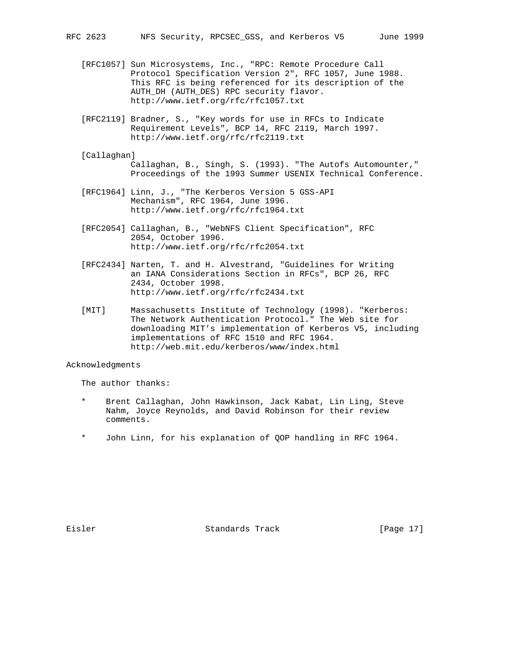- [RFC1057] Sun Microsystems, Inc., "RPC: Remote Procedure Call Protocol Specification Version 2", RFC 1057, June 1988. This RFC is being referenced for its description of the AUTH\_DH (AUTH\_DES) RPC security flavor. http://www.ietf.org/rfc/rfc1057.txt
- [RFC2119] Bradner, S., "Key words for use in RFCs to Indicate Requirement Levels", BCP 14, RFC 2119, March 1997. http://www.ietf.org/rfc/rfc2119.txt
- [Callaghan]

 Callaghan, B., Singh, S. (1993). "The Autofs Automounter," Proceedings of the 1993 Summer USENIX Technical Conference.

- [RFC1964] Linn, J., "The Kerberos Version 5 GSS-API Mechanism", RFC 1964, June 1996. http://www.ietf.org/rfc/rfc1964.txt
- [RFC2054] Callaghan, B., "WebNFS Client Specification", RFC 2054, October 1996. http://www.ietf.org/rfc/rfc2054.txt
- [RFC2434] Narten, T. and H. Alvestrand, "Guidelines for Writing an IANA Considerations Section in RFCs", BCP 26, RFC 2434, October 1998. http://www.ietf.org/rfc/rfc2434.txt
- [MIT] Massachusetts Institute of Technology (1998). "Kerberos: The Network Authentication Protocol." The Web site for downloading MIT's implementation of Kerberos V5, including implementations of RFC 1510 and RFC 1964. http://web.mit.edu/kerberos/www/index.html

## Acknowledgments

The author thanks:

- Brent Callaghan, John Hawkinson, Jack Kabat, Lin Ling, Steve Nahm, Joyce Reynolds, and David Robinson for their review comments.
- John Linn, for his explanation of QOP handling in RFC 1964.

Eisler Standards Track [Page 17]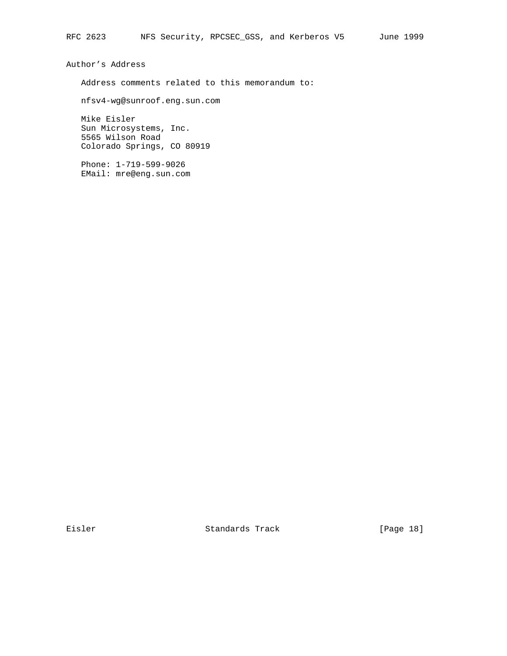Author's Address

Address comments related to this memorandum to:

nfsv4-wg@sunroof.eng.sun.com

 Mike Eisler Sun Microsystems, Inc. 5565 Wilson Road Colorado Springs, CO 80919

 Phone: 1-719-599-9026 EMail: mre@eng.sun.com

Eisler Standards Track [Page 18]